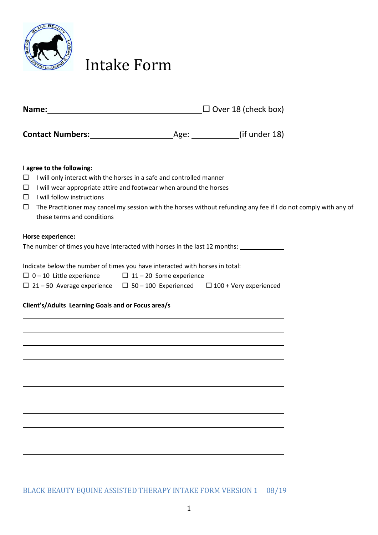

## Intake Form

| Name:                                                                                                                                                                                                                                                                                                                                                                                          | <u> 1989 - Johann Barbara, martxa alemaniar a</u> | $\Box$ Over 18 (check box) |  |  |  |
|------------------------------------------------------------------------------------------------------------------------------------------------------------------------------------------------------------------------------------------------------------------------------------------------------------------------------------------------------------------------------------------------|---------------------------------------------------|----------------------------|--|--|--|
|                                                                                                                                                                                                                                                                                                                                                                                                |                                                   |                            |  |  |  |
| I agree to the following:<br>I will only interact with the horses in a safe and controlled manner<br>$\Box$<br>I will wear appropriate attire and footwear when around the horses<br>$\Box$<br>I will follow instructions<br>$\Box$<br>The Practitioner may cancel my session with the horses without refunding any fee if I do not comply with any of<br>$\Box$<br>these terms and conditions |                                                   |                            |  |  |  |
| Horse experience:<br>The number of times you have interacted with horses in the last 12 months: ____________                                                                                                                                                                                                                                                                                   |                                                   |                            |  |  |  |
| Indicate below the number of times you have interacted with horses in total:<br>$\Box$ 0 - 10 Little experience $\Box$ 11 - 20 Some experience<br>$\Box$ 21 – 50 Average experience $\Box$ 50 – 100 Experienced $\Box$ 100 + Very experienced                                                                                                                                                  |                                                   |                            |  |  |  |
| Client's/Adults Learning Goals and or Focus area/s                                                                                                                                                                                                                                                                                                                                             |                                                   |                            |  |  |  |
|                                                                                                                                                                                                                                                                                                                                                                                                |                                                   |                            |  |  |  |
|                                                                                                                                                                                                                                                                                                                                                                                                |                                                   |                            |  |  |  |
|                                                                                                                                                                                                                                                                                                                                                                                                |                                                   |                            |  |  |  |
|                                                                                                                                                                                                                                                                                                                                                                                                |                                                   |                            |  |  |  |
|                                                                                                                                                                                                                                                                                                                                                                                                |                                                   |                            |  |  |  |